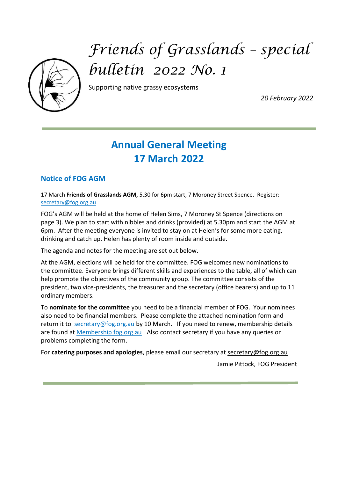

# *Friends of Grasslands – special bulletin 2022 No. 1*

Supporting native grassy ecosystems

*20 February 2022*

# **Annual General Meeting 17 March 2022**

### **Notice of FOG AGM**

17 March **Friends of Grasslands AGM,** 5.30 for 6pm start, 7 Moroney Street Spence. Register: [secretary@fog.org.au](mailto:secretary@fog.org.au)

FOG's AGM will be held at the home of Helen Sims, 7 Moroney St Spence (directions on page 3). We plan to start with nibbles and drinks (provided) at 5.30pm and start the AGM at 6pm.After the meeting everyone is invited to stay on at Helen's for some more eating, drinking and catch up. Helen has plenty of room inside and outside.

The agenda and notes for the meeting are set out below.

At the AGM, elections will be held for the committee. FOG welcomes new nominations to the committee. Everyone brings different skills and experiences to the table, all of which can help promote the objectives of the community group. The committee consists of the president, two vice-presidents, the treasurer and the secretary (office bearers) and up to 11 ordinary members.

To **nominate for the committee** you need to be a financial member of FOG. Your nominees also need to be financial members. Please complete the attached nomination form and return it to [secretary@fog.org.au](mailto:secretary@fog.org.au) by 10 March. If you need to renew, membership details are found a[t Membership fog.org.au](http://www.fog.org.au/membership.htm)Also contact secretary if you have any queries or problems completing the form.

For **catering purposes and apologies**, please email our secretary at [secretary@fog.org.au](mailto:secretary@fog.org.au)

Jamie Pittock, FOG President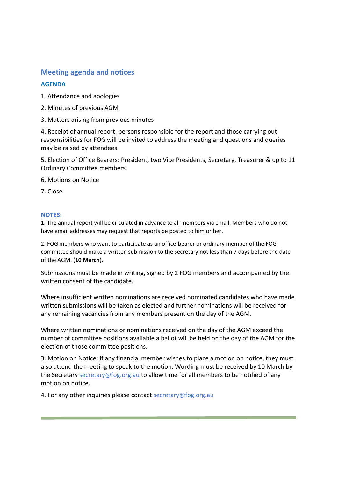#### **Meeting agenda and notices**

#### **AGENDA**

- 1. Attendance and apologies
- 2. Minutes of previous AGM
- 3. Matters arising from previous minutes

4. Receipt of annual report: persons responsible for the report and those carrying out responsibilities for FOG will be invited to address the meeting and questions and queries may be raised by attendees.

5. Election of Office Bearers: President, two Vice Presidents, Secretary, Treasurer & up to 11 Ordinary Committee members.

6. Motions on Notice

7. Close

#### **NOTES:**

1. The annual report will be circulated in advance to all members via email. Members who do not have email addresses may request that reports be posted to him or her.

2. FOG members who want to participate as an office-bearer or ordinary member of the FOG committee should make a written submission to the secretary not less than 7 days before the date of the AGM. (**10 March**).

Submissions must be made in writing, signed by 2 FOG members and accompanied by the written consent of the candidate.

Where insufficient written nominations are received nominated candidates who have made written submissions will be taken as elected and further nominations will be received for any remaining vacancies from any members present on the day of the AGM.

Where written nominations or nominations received on the day of the AGM exceed the number of committee positions available a ballot will be held on the day of the AGM for the election of those committee positions.

3. Motion on Notice: if any financial member wishes to place a motion on notice, they must also attend the meeting to speak to the motion. Wording must be received by 10 March by the Secretary [secretary@fog.org.au](mailto:secretary@fog.org.au) to allow time for all members to be notified of any motion on notice.

4. For any other inquiries please contact [secretary@fog.org.au](mailto:secretary@fog.org.au)